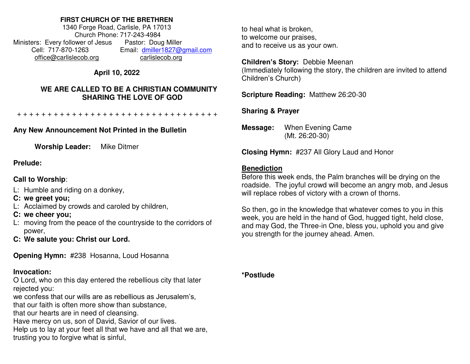#### **FIRST CHURCH OF THE BRETHREN**

1340 Forge Road, Carlisle, PA 17013 Church Phone: 717-243-4984 Ministers: Every follower of Jesus Pastor: Doug Miller Cell: 717-870-1263 Email: [dmiller1827@gmail.com](mailto:dmiller1827@gmail.com) [office@carlislecob.org](mailto:office@carlislecob.org) carlislecob.org

# **April 10, 2022**

## **WE ARE CALLED TO BE A CHRISTIAN COMMUNITY SHARING THE LOVE OF GOD**

+ + + + + + + + + + + + + + + + + + + + + + + + + + + + + + + + +

# **Any New Announcement Not Printed in the Bulletin**

**Worship Leader:** Mike Ditmer

## **Prelude:**

# **Call to Worship**:

- L: Humble and riding on a donkey,
- **C: we greet you;**
- L: Acclaimed by crowds and caroled by children,
- **C: we cheer you;**
- L: moving from the peace of the countryside to the corridors of power,
- **C: We salute you: Christ our Lord.**

**Opening Hymn:** #238 Hosanna, Loud Hosanna

## **Invocation:**

O Lord, who on this day entered the rebellious city that later rejected you:

we confess that our wills are as rebellious as Jerusalem's,

that our faith is often more show than substance,

that our hearts are in need of cleansing.

Have mercy on us, son of David, Savior of our lives.

Help us to lay at your feet all that we have and all that we are, trusting you to forgive what is sinful,

to heal what is broken, to welcome our praises, and to receive us as your own.

#### **Children's Story:** Debbie Meenan

(Immediately following the story, the children are invited to attend Children's Church)

**Scripture Reading:** Matthew 26:20-30

## **Sharing & Prayer**

**Message:** When Evening Came (Mt. 26:20-30)

**Closing Hymn:** #237 All Glory Laud and Honor

## **Benediction**

Before this week ends, the Palm branches will be drying on the roadside. The joyful crowd will become an angry mob, and Jesus will replace robes of victory with a crown of thorns.

So then, go in the knowledge that whatever comes to you in this week, you are held in the hand of God, hugged tight, held close, and may God, the Three-in One, bless you, uphold you and give you strength for the journey ahead. Amen.

**\*Postlude**